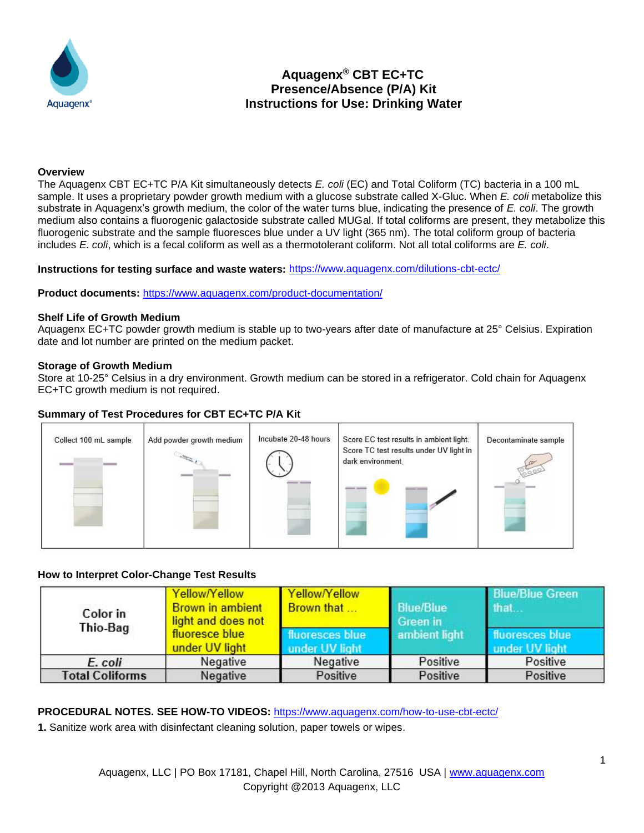

# **Aquagenx® CBT EC+TC Presence/Absence (P/A) Kit Instructions for Use: Drinking Water**

#### **Overview**

The Aquagenx CBT EC+TC P/A Kit simultaneously detects *E. coli* (EC) and Total Coliform (TC) bacteria in a 100 mL sample. It uses a proprietary powder growth medium with a glucose substrate called X-Gluc. When *E. coli* metabolize this substrate in Aquagenx's growth medium, the color of the water turns blue, indicating the presence of *E. coli*. The growth medium also contains a fluorogenic galactoside substrate called MUGal. If total coliforms are present, they metabolize this fluorogenic substrate and the sample fluoresces blue under a UV light (365 nm). The total coliform group of bacteria includes *E. coli*, which is a fecal coliform as well as a thermotolerant coliform. Not all total coliforms are *E. coli*.

**Instructions for testing surface and waste waters:** <https://www.aquagenx.com/dilutions-cbt-ectc/>

**Product documents:** <https://www.aquagenx.com/product-documentation/>

#### **Shelf Life of Growth Medium**

Aquagenx EC+TC powder growth medium is stable up to two-years after date of manufacture at 25° Celsius. Expiration date and lot number are printed on the medium packet.

#### **Storage of Growth Medium**

Store at 10-25° Celsius in a dry environment. Growth medium can be stored in a refrigerator. Cold chain for Aquagenx EC+TC growth medium is not required.

# **Summary of Test Procedures for CBT EC+TC P/A Kit**



# **How to Interpret Color-Change Test Results**

| Color in<br>Thio-Bag   | Yellow/Yellow<br><b>Brown in ambient</b><br>light and does not<br>fluoresce blue<br>under UV light | Yellow/Yellow<br>Brown that       | <b>Blue/Blue</b><br>Green in<br>ambient light | <b>Blue/Blue Green</b><br>that.   |
|------------------------|----------------------------------------------------------------------------------------------------|-----------------------------------|-----------------------------------------------|-----------------------------------|
|                        |                                                                                                    | fluoresces blue<br>under UV light |                                               | fluoresces blue<br>under UV light |
| E. coli                | Negative                                                                                           | Negative                          | Positive                                      | Positive                          |
| <b>Total Coliforms</b> | Negative                                                                                           | Positive                          | Positive                                      | Positive                          |

**PROCEDURAL NOTES. SEE HOW-TO VIDEOS:** <https://www.aquagenx.com/how-to-use-cbt-ectc/>

**1.** Sanitize work area with disinfectant cleaning solution, paper towels or wipes.